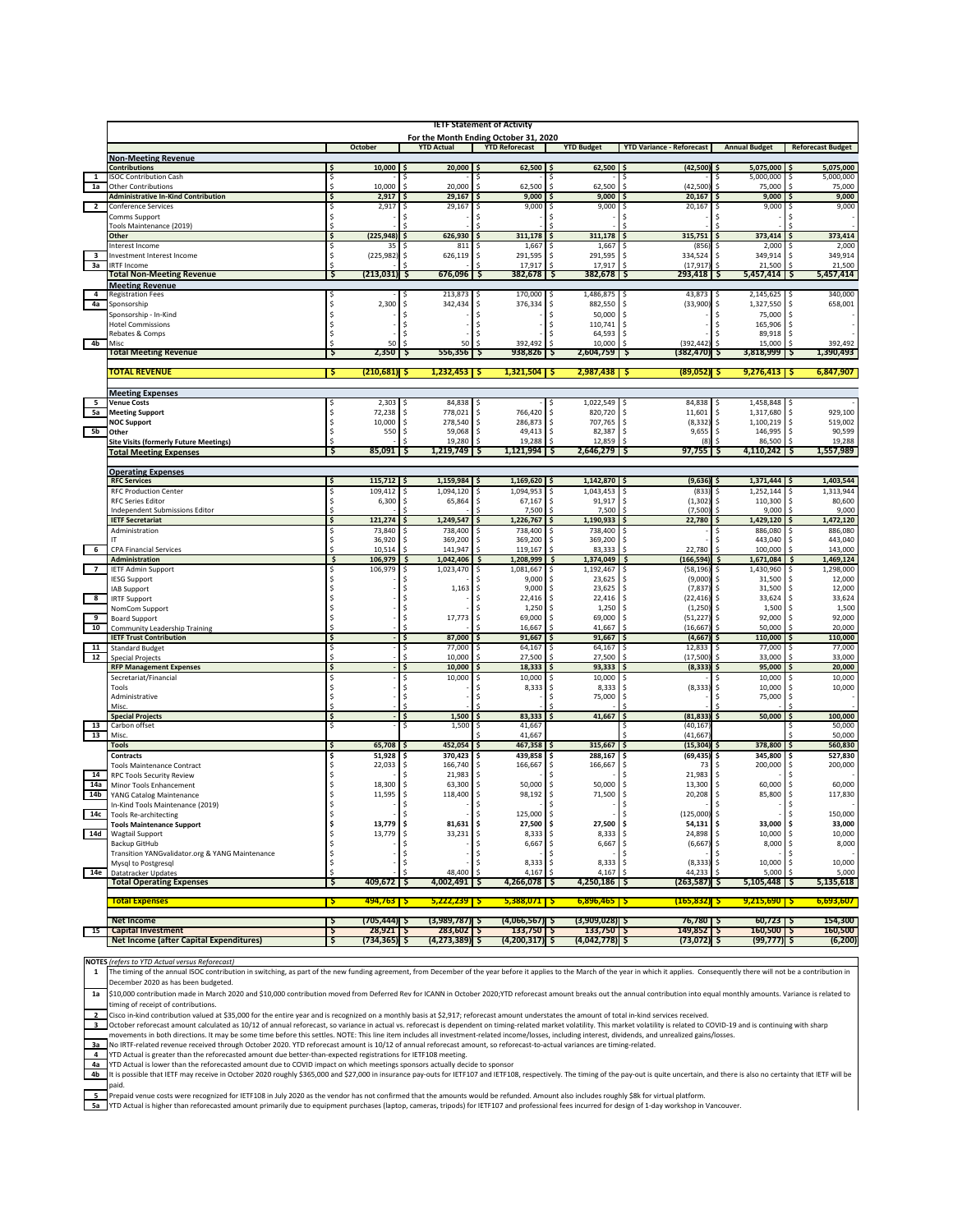|                         | <b>IETF Statement of Activity</b>                                      |                                       |                                |                                       |                              |                                         |                                   |                                                          |
|-------------------------|------------------------------------------------------------------------|---------------------------------------|--------------------------------|---------------------------------------|------------------------------|-----------------------------------------|-----------------------------------|----------------------------------------------------------|
|                         |                                                                        |                                       |                                | For the Month Ending October 31, 2020 |                              |                                         |                                   |                                                          |
|                         |                                                                        | October                               | <b>TD Actual</b>               | <b>YTD Reforecast</b>                 | <b>YTD Budget</b>            | <b>YTD Variance - Reforecast</b>        | <b>Annual Budget</b>              | <b>Reforecast Budget</b>                                 |
|                         | <b>Non-Meeting Revenue</b><br><b>Contributions</b>                     | 10,000                                | 20,000                         | 62,500                                | 62,500                       | (42, 500)                               | 5,075,000                         | 5,075,000                                                |
| 1                       | <b>ISOC Contribution Cash</b>                                          | \$                                    |                                |                                       |                              |                                         | 5,000,000                         | 5,000,000<br>s                                           |
| 1a                      | <b>Other Contributions</b>                                             | 10,000                                | 20,000                         | 62,500                                | 62,500                       | (42, 500)<br>Ŝ.                         | 75,000                            | 75,000                                                   |
|                         | <b>Administrative In-Kind Contribution</b>                             | 2,917<br>Ś                            | 29,167                         | 9,000                                 | 9,000                        | 20,167                                  | 9,000                             | 9,000                                                    |
| $\overline{2}$          | <b>Conference Services</b>                                             | 2,917<br>Ś                            | 29,167                         | 9,000                                 | 9,000                        | 20,167                                  | 9,000                             | 9,000                                                    |
|                         | Comms Support<br>Tools Maintenance (2019)                              | ⋖                                     |                                |                                       |                              |                                         |                                   |                                                          |
|                         | Other                                                                  | (225, 948)<br>\$                      | 626,930                        | 311,178                               | 311,178                      | 315,751                                 | 373,414                           | 373,414                                                  |
|                         | Interest Income                                                        | Ś<br>35                               | 811                            | 1,667                                 | 1,667                        | (856)                                   | 2,000                             | 2,000                                                    |
| 3                       | Investment Interest Income                                             | Ś<br>(225,982                         | 626,119                        | 291,595<br>Ŝ                          | 291,595                      | 334,524                                 | 349,914                           | 349,914                                                  |
| За                      | <b>IRTF Income</b><br><b>Total Non-Meeting Revenue</b>                 | $(213, 031)$ \$<br>Ş                  | 676,096                        | 17,917<br>382,678<br>Ş                | 17,917<br>382,678<br>S       | (17, 917)<br>293,418 \$<br>-Ş           | 21,500<br>$5,457,414$ $\sqrt{5}$  | 21,500<br>5,457,414                                      |
|                         | <b>Meeting Revenue</b>                                                 |                                       |                                |                                       |                              |                                         |                                   |                                                          |
| $\overline{4}$          | <b>Registration Fees</b>                                               |                                       | 213,873                        | 170,000                               | 1,486,875                    | 43,873                                  | 2,145,625                         | 340,000                                                  |
| 4a                      | Sponsorship                                                            | \$<br>2,300                           | \$<br>342,434                  | \$<br>376,334                         | \$<br>882,550                | Ŝ<br>(33,900)                           | \$<br>1,327,550                   | \$<br>658,001                                            |
|                         | Sponsorship - In-Kind                                                  | \$                                    | Ŝ                              | Ŝ                                     | \$<br>50,000                 | <sup>\$</sup>                           | 75,000                            | <sup>\$</sup><br><sup>\$</sup>                           |
|                         | <b>Hotel Commissions</b><br>Rebates & Comps                            | Ŝ<br>Ś                                | Ś                              | Ŝ                                     | 110,741<br>Ŝ<br>64,593       | Ŝ<br>\$                                 | 165,906<br>89,918                 | <sup>\$</sup>                                            |
| 4 <sub>b</sub>          | Miso                                                                   | 50                                    |                                | 392,492                               | 10,000                       | (392, 442)                              | 15,000                            | 392,492                                                  |
|                         | <b>Total Meeting Revenue</b>                                           | 2,350<br>5                            | 556,356<br>-Ş                  | 938,826<br>Ş                          | 2,604,759<br>-Ş              | (382,470) Ş                             | 3,818,999                         | 1,390,493                                                |
|                         |                                                                        |                                       |                                |                                       |                              |                                         |                                   |                                                          |
|                         | TOTAL REVENUE                                                          | $(210, 681)$ \$<br>्ऽ                 | $1,232,453$ $\sqrt{5}$         | $1,321,504$ \$                        | 2,987,438                    | $(89,052)$ \$<br>ు                      | 9,276,413                         | 6,847,907                                                |
|                         | <b>Meeting Expenses</b>                                                |                                       |                                |                                       |                              |                                         |                                   |                                                          |
| 5                       | <b>Venue Costs</b>                                                     | 2,303                                 | 84,838                         |                                       | 1,022,549                    | 84,838                                  | 1,458,848                         |                                                          |
| 5a                      | <b>Meeting Support</b>                                                 | 72,238<br>Ś                           | 778,021<br>Ś                   | 766,420<br>Ŝ                          | 820,720<br>Ŝ                 | Ŝ<br>11,601                             | 1,317,680<br>\$                   | 929,100<br>Ŝ                                             |
| 5b                      | <b>NOC Support</b><br>Other                                            | \$<br>10,000<br>\$<br>550             | 278,540<br>Ŝ<br>59,068<br>Ś    | 286,873<br>Ŝ<br>49,413<br>Ŝ           | 707,765<br>\$<br>Ŝ<br>82,387 | <sup>\$</sup><br>(8, 332)<br>Ŝ<br>9,655 | 1,100,219<br>\$<br>\$<br>146,995  | 519,002<br>$\mathsf{\hat{S}}$<br>90,599<br><sup>\$</sup> |
|                         | <b>Site Visits (formerly Future Meetings)</b>                          |                                       | 19,280                         | 19,288                                | 12,859                       |                                         | 86,500                            | 19,288                                                   |
|                         | <b>Total Meeting Expenses</b>                                          | 85,091<br>5                           | `.<br>1,219,749                | 1,121,994<br>5                        | 2,646,279<br>-5              | 97,755                                  | 4,110,242<br>ניו                  | 1,557,989                                                |
|                         |                                                                        |                                       |                                |                                       |                              |                                         |                                   |                                                          |
|                         | <b>Operating Expenses</b><br><b>RFC Services</b>                       | 115,712<br>s                          | 1,159,984<br>l S               | 1,169,620<br>S                        | 1,142,870                    | $(9,636)$ \$                            | 1,371,444                         | 1,403,544<br>I S                                         |
|                         | <b>RFC Production Center</b>                                           | \$<br>109,412                         | 1,094,120                      | 1,094,953<br>Ŝ                        | 1,043,453                    | (833)<br>Ŝ                              | 1,252,144                         | 1,313,944                                                |
|                         | <b>RFC Series Editor</b>                                               | \$<br>6,300                           | Ś<br>65,864                    | Ś<br>67,167                           | Ś<br>91,917                  | Ś<br>(1, 302)                           | 110,300                           | 80,600<br><sup>\$</sup>                                  |
|                         | Independent Submissions Editor                                         |                                       |                                | 7,500                                 | Ś<br>7,500                   | (7,500<br><sup>\$</sup>                 | 9,000                             | 9,000                                                    |
|                         | <b>IETF Secretariat</b>                                                | 121,274<br>Ś.                         | 1,249,547                      | 1,226,767<br>¢                        | 1,190,933<br>\$              | 22,780                                  | 1,429,120<br>Ŝ                    | 1,472,120                                                |
|                         | Administration                                                         | 73,840<br>36,920                      | 738,400<br>369,200             | 738,400<br>369,200                    | 738,400<br>369,200           |                                         | 886,080<br>443,040                | 886,080<br>443,040                                       |
| $-6$                    | <b>CPA Financial Services</b>                                          | 10,514                                | 141,947                        | 119,167                               | 83,333                       | 22,780                                  | 100,000                           | 143,000                                                  |
|                         | <b>Administration</b>                                                  | \$<br>106,979                         | 1.042.406<br>\$                | \$<br>1,208,999                       | 1,374,049<br>Ś               | \$<br>(166, 594)                        | 1,671,084<br>- Ś                  | 1,469,124<br>\$                                          |
| $\overline{ }$          | <b>IETF Admin Support</b>                                              | 106,979<br>Ś                          | Ś<br>1,023,470                 | Ś<br>1,081,667                        | 1,192,467<br>Ŝ               | Ŝ<br>(58, 196)                          | 1,430,960<br>s                    | 1,298,000<br>Ŝ                                           |
|                         | <b>IESG Support</b><br><b>IAB Support</b>                              |                                       | 1,163                          | 9,000<br>9,000<br>Ŝ                   | 23,625<br>\$<br>23,625<br>\$ | (9,000)<br>Ŝ<br>(7, 837)<br>Ŝ           | 31,500<br>\$<br>31,500<br>\$      | 12,000<br>Ŝ<br>12,000<br>Ŝ                               |
| $\overline{\mathbf{8}}$ | <b>IRTF Support</b>                                                    |                                       |                                | 22,416<br>Ŝ                           | 22,416<br>Ŝ                  | (22, 416)<br>Ŝ                          | 33,624<br>Ŝ                       | 33,624<br>Ŝ                                              |
|                         | NomCom Support                                                         | Ś                                     |                                | 1,250                                 | \$<br>1,250                  | \$<br>(1, 250)                          | 1,500<br>Ŝ                        | 1,500<br>Ŝ                                               |
| 9                       | <b>Board Support</b>                                                   | Ŝ.                                    | Ŝ<br>17,773                    | 69,000<br>Ŝ                           | 69,000<br>\$                 | (51, 227)<br>\$                         | 92,000<br>Ŝ                       | 92,000<br><sup>\$</sup>                                  |
| 10                      | <b>Community Leadership Training</b><br><b>IETF Trust Contribution</b> | \$.                                   | 87,000                         | 16,667<br>91,667                      | 41,667<br>91,667             | (16, 667)<br>Ŝ<br>(4, 667)              | 50,000<br>110,000                 | 20,000<br>110,000                                        |
| 11                      | <b>Standard Budget</b>                                                 |                                       | 77,000                         | 64,167                                | 64,167                       | 12,833                                  | 77,000                            | 77,000                                                   |
| 12                      | <b>Special Projects</b>                                                |                                       | 10,000                         | 27,500                                | 27,500                       | (17, 500)                               | 33,000                            | 33,000                                                   |
|                         | <b>RFP Management Expenses</b>                                         | \$                                    | 10,000<br>Ś                    | 18,333<br>Ś.                          | 93,333<br>s                  | (8, 333)<br>Ŝ                           | 95,000<br>S                       | 20,000                                                   |
|                         | Secretariat/Financial                                                  | Ś                                     | 10,000                         | 10,000                                | 10,000                       | Ŝ                                       | 10,000                            | 10,000                                                   |
|                         | Tools<br>Administrative                                                | \$<br>\$                              | Ŝ<br>Ś                         | 8,333                                 | Ś<br>8,333<br>75,000         | (8, 333)<br>Ŝ<br><sup>\$</sup>          | 10,000<br>Ŝ<br>75,000             | 10,000<br>Ŝ                                              |
|                         | Misc.                                                                  |                                       |                                |                                       |                              |                                         |                                   |                                                          |
|                         | <b>Special Projects</b>                                                | \$                                    | 1,500<br>Ś                     | 83,333                                | 41,667                       | (81, 833)<br>Ś                          | 50,000                            | 100,000                                                  |
| 13<br>13                | Carbon offset<br>Misc.                                                 | \$                                    | Ś<br>1,500                     | 41,667<br>\$<br>41,667                |                              | (40, 167)<br>s<br>(41, 667)             |                                   | 50,000<br>50,000                                         |
|                         | <b>Tools</b>                                                           | 65,708                                | 452,054                        | 467,358                               | 315,667                      | (15, 304)                               | 378,800                           | 560,830                                                  |
|                         | <b>Contracts</b>                                                       | 51,928<br>\$                          | 370,423<br>s                   | 439,858<br>\$                         | 288,167<br>\$                | (69, 435)<br>Ŝ                          | 345,800<br>s                      | 527,830                                                  |
|                         | <b>Tools Maintenance Contract</b>                                      | 22,033<br>Ŝ                           | 166,740<br>s                   | 166,667<br>\$                         | 166,667<br>\$                | \$<br>73                                | 200,000<br>s                      | 200,000<br>\$                                            |
| 14                      | <b>RPC Tools Security Review</b>                                       | \$                                    | 21,983                         | \$                                    |                              | 21,983<br>\$                            | \$                                |                                                          |
| 14a<br>14 <sub>b</sub>  | Minor Tools Enhancement<br>YANG Catalog Maintenance                    | 18,300<br>11,595                      | 63,300<br>Ś<br>118,400<br>\$   | 50,000<br>\$<br>98,192<br>\$          | 50,000<br>\$<br>\$<br>71,500 | Ŝ<br>13,300<br>20,208<br>Ŝ              | 60,000<br>\$<br>85,800<br>Ŝ       | 60,000<br>Ŝ<br>117,830<br>Ŝ                              |
|                         | In-Kind Tools Maintenance (2019)                                       |                                       | Ś                              | Ŝ                                     | Ŝ                            | Ŝ                                       | s                                 |                                                          |
| 14c                     | <b>Tools Re-architecting</b>                                           |                                       |                                | 125,000                               |                              |                                         |                                   | 150,000                                                  |
|                         | <b>Tools Maintenance Support</b>                                       | \$<br>13,779                          | \$<br>81,631                   | 27,500<br>\$                          | 27,500<br>\$                 | $54,131$ \$<br>\$                       | 33,000 \$                         | 33,000                                                   |
| 14d                     | <b>Wagtail Support</b>                                                 | \$<br>13,779                          | 33,231<br>\$                   | \$<br>8,333                           | 8,333<br>\$                  | \$<br>24,898                            | 10,000<br>\$                      | 10,000<br>\$                                             |
|                         | Backup GitHub<br>Transition YANGvalidator.org & YANG Maintenance       | \$<br>\$                              | s                              | 6,667<br>s                            | \$<br>6,667<br>s             | \$<br>(6,667)<br>\$                     | 8,000<br>\$                       | 8,000<br>\$                                              |
|                         | Mysql to Postgresql                                                    | \$                                    | \$                             | 8,333<br>Ŝ                            | \$<br>8,333                  | \$<br>$(8,333)$ \$                      | 10,000                            | 10,000<br>\$                                             |
| 14e                     | <b>Datatracker Updates</b>                                             |                                       | 48,400                         | 4,167                                 | 4,167                        | 44,233                                  | 5,000                             | 5,000                                                    |
|                         | <b>Total Operating Expenses</b>                                        | 409,672   \$<br>Ş                     | 4,002,491 \$                   | 4,266,078                             | 4,250,186 \$<br>ΙŞ           | $(263, 587)$ \$                         | $5,105,448$ \$                    | 5,135,618                                                |
|                         | <b>Total Expenses</b>                                                  | $494,763$ $5$<br><b>Ş</b>             | $5,222,239$ $\sqrt{5}$         | $5,388,071$ $\sqrt{5}$                | $6,896,465$ $\sqrt{5}$       | $(165, 832)$ \$                         | $9,215,690$ \$                    | 6,693,607                                                |
|                         | <b>Net Income</b>                                                      |                                       |                                |                                       |                              |                                         |                                   |                                                          |
| 15                      | <b>Capital Investment</b>                                              | (705,444) \$<br>Ş<br>$28,921$ \$<br>Ş | $(3,989,787)$ \$<br>283,602 \$ | $(4,066,567)$ \$<br>133,750 \$        | (3,909,028) Ş<br>133,750 \$  | 76,780   \$<br>$149,852$ 5              | $60,723$ $\sqrt{5}$<br>160,500 \$ | 154,300<br>160,500                                       |
|                         | Net Income (after Capital Expenditures)                                | $(734, 365)$ \$<br>-5                 | $(4, 273, 389)$ \$             | $(4,200,317)$ \$                      | $(4,042,778)$ \$             | $(73,072)$ \$                           | $(99, 777)$ \$                    | (6, 200)                                                 |

**NOTES** (refers to YTD Actual versus Reforecast)

1 The timing of the annual ISOC contribution in switching, as part of the new funding agreement, from December of the year before it applies to the March of the year in which it applies. Consequently there will not be a co

\$10,000 contribution made in March 2020 and \$10,000 contribution moved from Deferred Rev for ICANN in October 2020;YTD reforecast amount breaks out the annual contribution into equal monthly amounts. Variance is related to  $1a$ .<br>iming of receipt of contributions.<br>Isco in-kind contribution valued at \$35,000 for the entire year and is recognized on a monthly basis at \$2,917; reforecast amount understates the amount of total in-kind services receiv

 $\overline{2}$ 

Ctrober reforecast amount calculated as 10/12 of annual reforecast, so variance in actual vs. reforecast is dependent on timing-related market volatility. This market volatility. The market volatility is related to COVID-1

The DOU REFERIENT OF THE RELATION OF THE RELATION OF THE RELATION OF THE RELATION OF THE RELATION OF THE RELATION OF THE RELATION OF THE RELATION OF THE RELATION OF THE RELATION OF THE RELATION OF THE RELATION OF THE RELAT

 $4<sub>b</sub>$ It is possible that IETF may receive in October 2020 roughly \$365,000 and \$27,000 in insurance pay-outs for IETF107 and IETF108, respectively. The timing of the pay-out is quite uncertain, and there is also no certainty th aid.

┌

Figure 2015 of Prepaid venue costs were recognized for IETF108 in July 2020 as the vendor has not confirmed that the amounts would be refunded. Amount also includes roughly S8k for virtual platform.<br>The MTD Actual is highe